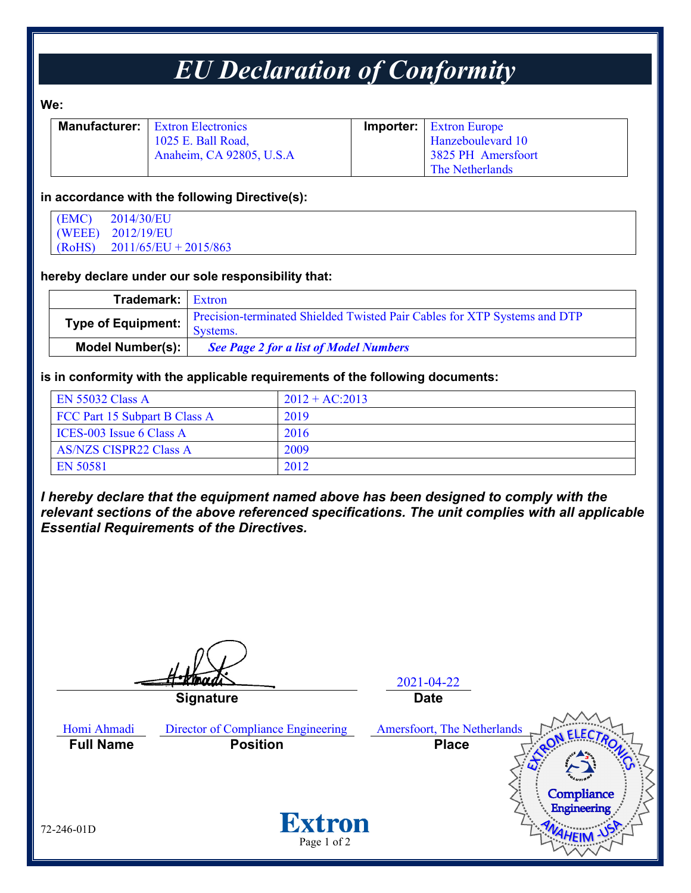## *EU Declaration of Conformity*

**We:** 

| <b>Manufacturer:</b>   Extron Electronics | <b>Importer:</b> Extron Europe |
|-------------------------------------------|--------------------------------|
| 1025 E. Ball Road,                        | Hanzeboulevard 10              |
| Anaheim, CA 92805, U.S.A                  | 3825 PH Amersfoort             |
|                                           | The Netherlands                |

### **in accordance with the following Directive(s):**

| (EMC)  | 2014/30/EU              |
|--------|-------------------------|
|        | (WEEE) 2012/19/EU       |
| (RoHS) | $2011/65/EU + 2015/863$ |

#### **hereby declare under our sole responsibility that:**

| <b>Trademark:</b> Extron |                                                                                       |
|--------------------------|---------------------------------------------------------------------------------------|
| Type of Equipment:       | Precision-terminated Shielded Twisted Pair Cables for XTP Systems and DTP<br>Systems. |
| Model Number(s):         | <b>See Page 2 for a list of Model Numbers</b>                                         |

#### **is in conformity with the applicable requirements of the following documents:**

| <b>EN 55032 Class A</b>       | $2012 + AC:2013$ |
|-------------------------------|------------------|
| FCC Part 15 Subpart B Class A | 2019             |
| ICES-003 Issue 6 Class A      | 2016             |
| <b>AS/NZS CISPR22 Class A</b> | 2009             |
| EN 50581                      | 2012             |

*I hereby declare that the equipment named above has been designed to comply with the relevant sections of the above referenced specifications. The unit complies with all applicable Essential Requirements of the Directives.*

2021-04-22 **Signature Date** Homi Ahmadi Director of Compliance Engineering Amersfoort, The Netherlands **Full Name Position Place**Compliance Engineering **Extron** 72-246-01D Page 1 of 2